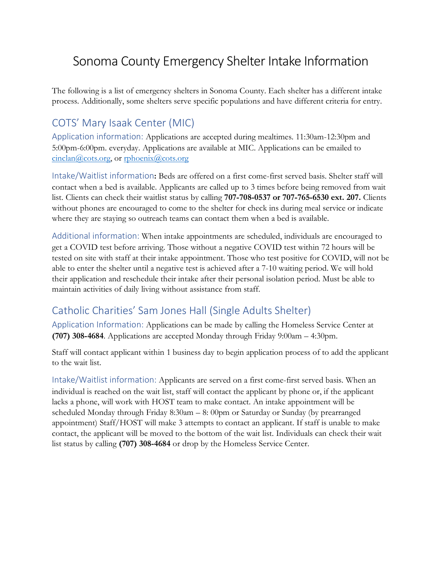# Sonoma County Emergency Shelter Intake Information

The following is a list of emergency shelters in Sonoma County. Each shelter has a different intake process. Additionally, some shelters serve specific populations and have different criteria for entry.

#### COTS' Mary Isaak Center (MIC)

Application information: Applications are accepted during mealtimes. 11:30am-12:30pm and 5:00pm-6:00pm. everyday. Applications are available at MIC. Applications can be emailed to [cinclan@cots.org,](mailto:cinclan@cots.org) or [rphoenix@cots.org](mailto:rphoenix@cots.org)

Intake/Waitlist information**:** Beds are offered on a first come-first served basis. Shelter staff will contact when a bed is available. Applicants are called up to 3 times before being removed from wait list. Clients can check their waitlist status by calling **707-708-0537 or 707-765-6530 ext. 207.** Clients without phones are encouraged to come to the shelter for check ins during meal service or indicate where they are staying so outreach teams can contact them when a bed is available.

Additional information: When intake appointments are scheduled, individuals are encouraged to get a COVID test before arriving. Those without a negative COVID test within 72 hours will be tested on site with staff at their intake appointment. Those who test positive for COVID, will not be able to enter the shelter until a negative test is achieved after a 7-10 waiting period. We will hold their application and reschedule their intake after their personal isolation period. Must be able to maintain activities of daily living without assistance from staff.

#### Catholic Charities' Sam Jones Hall (Single Adults Shelter)

Application Information: Applications can be made by calling the Homeless Service Center at **(707) 308-4684**. Applications are accepted Monday through Friday 9:00am – 4:30pm.

Staff will contact applicant within 1 business day to begin application process of to add the applicant to the wait list.

Intake/Waitlist information: Applicants are served on a first come-first served basis. When an individual is reached on the wait list, staff will contact the applicant by phone or, if the applicant lacks a phone, will work with HOST team to make contact. An intake appointment will be scheduled Monday through Friday 8:30am – 8: 00pm or Saturday or Sunday (by prearranged appointment) Staff/HOST will make 3 attempts to contact an applicant. If staff is unable to make contact, the applicant will be moved to the bottom of the wait list. Individuals can check their wait list status by calling **(707) 308-4684** or drop by the Homeless Service Center.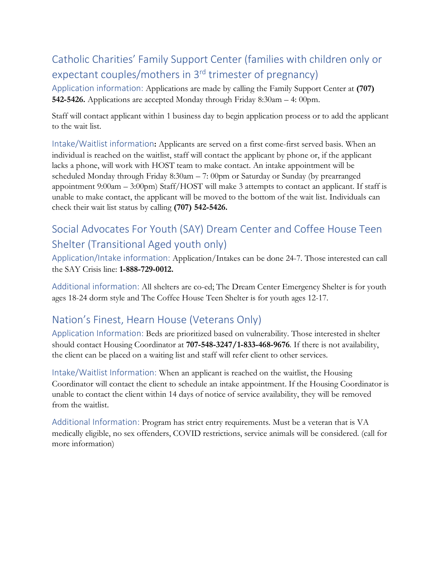## Catholic Charities' Family Support Center (families with children only or expectant couples/mothers in 3rd trimester of pregnancy)

Application information: Applications are made by calling the Family Support Center at **(707) 542-5426.** Applications are accepted Monday through Friday 8:30am – 4: 00pm.

Staff will contact applicant within 1 business day to begin application process or to add the applicant to the wait list.

Intake/Waitlist information**:** Applicants are served on a first come-first served basis. When an individual is reached on the waitlist, staff will contact the applicant by phone or, if the applicant lacks a phone, will work with HOST team to make contact. An intake appointment will be scheduled Monday through Friday 8:30am – 7: 00pm or Saturday or Sunday (by prearranged appointment 9:00am – 3:00pm) Staff/HOST will make 3 attempts to contact an applicant. If staff is unable to make contact, the applicant will be moved to the bottom of the wait list. Individuals can check their wait list status by calling **(707) 542-5426.**

## Social Advocates For Youth (SAY) Dream Center and Coffee House Teen Shelter (Transitional Aged youth only)

Application/Intake information: Application/Intakes can be done 24-7. Those interested can call the SAY Crisis line: **1-888-729-0012.**

Additional information: All shelters are co-ed; The Dream Center Emergency Shelter is for youth ages 18-24 dorm style and The Coffee House Teen Shelter is for youth ages 12-17.

### Nation's Finest, Hearn House (Veterans Only)

Application Information: Beds are prioritized based on vulnerability. Those interested in shelter should contact Housing Coordinator at **707-548-3247/1-833-468-9676**. If there is not availability, the client can be placed on a waiting list and staff will refer client to other services.

Intake/Waitlist Information: When an applicant is reached on the waitlist, the Housing Coordinator will contact the client to schedule an intake appointment. If the Housing Coordinator is unable to contact the client within 14 days of notice of service availability, they will be removed from the waitlist.

Additional Information: Program has strict entry requirements. Must be a veteran that is VA medically eligible, no sex offenders, COVID restrictions, service animals will be considered. (call for more information)